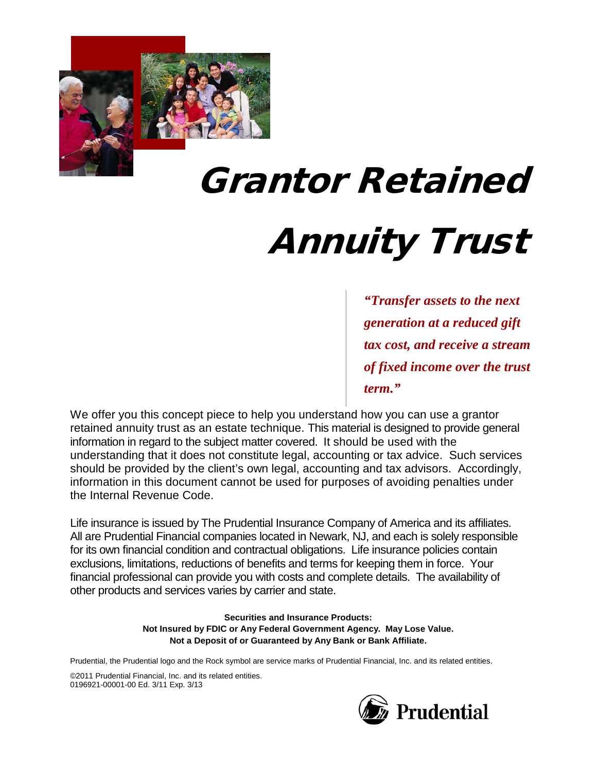

# Grantor Retained

Annuity Trust

*"Transfer assets to the next generation at a reduced gift tax cost, and receive a stream of fixed income over the trust term."*

We offer you this concept piece to help you understand how you can use a grantor retained annuity trust as an estate technique. This material is designed to provide general information in regard to the subject matter covered. It should be used with the understanding that it does not constitute legal, accounting or tax advice. Such services should be provided by the client's own legal, accounting and tax advisors. Accordingly, information in this document cannot be used for purposes of avoiding penalties under the Internal Revenue Code.

Life insurance is issued by The Prudential Insurance Company of America and its affiliates. All are Prudential Financial companies located in Newark, NJ, and each is solely responsible for its own financial condition and contractual obligations. Life insurance policies contain exclusions, limitations, reductions of benefits and terms for keeping them in force. Your financial professional can provide you with costs and complete details. The availability of other products and services varies by carrier and state.

> **Securities and Insurance Products: Not Insured by FDIC or Any Federal Government Agency. May Lose Value. Not a Deposit of or Guaranteed by Any Bank or Bank Affiliate.**

Prudential, the Prudential logo and the Rock symbol are service marks of Prudential Financial, Inc. and its related entities.

©2011 Prudential Financial, Inc. and its related entities. 0196921-00001-00 Ed. 3/11 Exp. 3/13

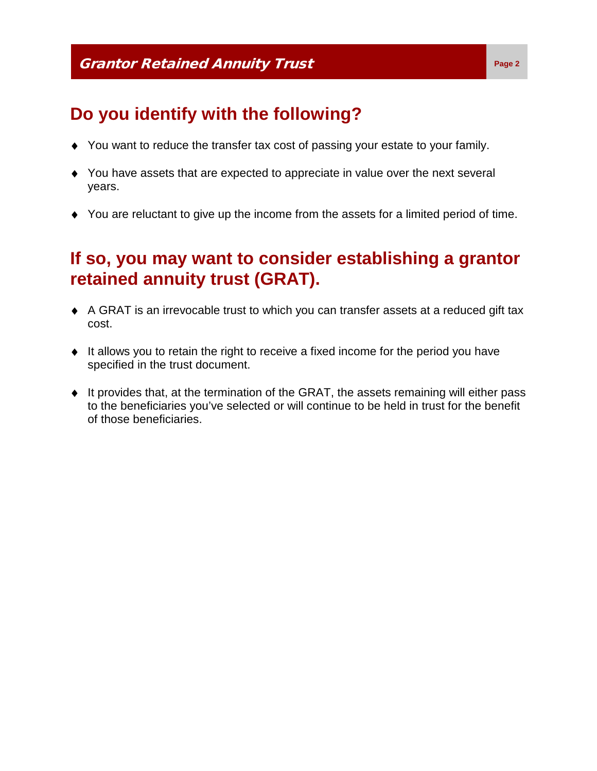# **Do you identify with the following?**

- ♦ You want to reduce the transfer tax cost of passing your estate to your family.
- ♦ You have assets that are expected to appreciate in value over the next several years.
- ♦ You are reluctant to give up the income from the assets for a limited period of time.

# **If so, you may want to consider establishing a grantor retained annuity trust (GRAT).**

- ♦ A GRAT is an irrevocable trust to which you can transfer assets at a reduced gift tax cost.
- ♦ It allows you to retain the right to receive a fixed income for the period you have specified in the trust document.
- ♦ It provides that, at the termination of the GRAT, the assets remaining will either pass to the beneficiaries you've selected or will continue to be held in trust for the benefit of those beneficiaries.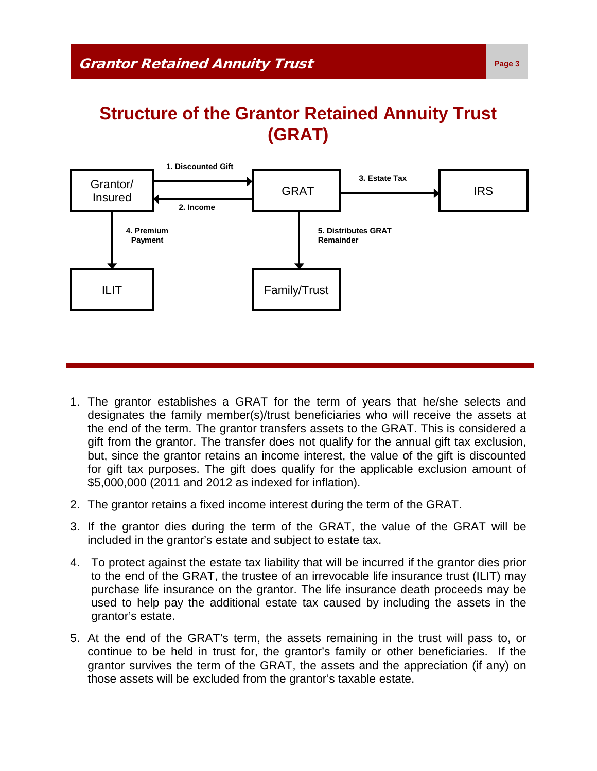### **Structure of the Grantor Retained Annuity Trust (GRAT)**



- 1. The grantor establishes a GRAT for the term of years that he/she selects and designates the family member(s)/trust beneficiaries who will receive the assets at the end of the term. The grantor transfers assets to the GRAT. This is considered a gift from the grantor. The transfer does not qualify for the annual gift tax exclusion, but, since the grantor retains an income interest, the value of the gift is discounted for gift tax purposes. The gift does qualify for the applicable exclusion amount of \$5,000,000 (2011 and 2012 as indexed for inflation).
- 2. The grantor retains a fixed income interest during the term of the GRAT.
- 3. If the grantor dies during the term of the GRAT, the value of the GRAT will be included in the grantor's estate and subject to estate tax.
- 4. To protect against the estate tax liability that will be incurred if the grantor dies prior to the end of the GRAT, the trustee of an irrevocable life insurance trust (ILIT) may purchase life insurance on the grantor. The life insurance death proceeds may be used to help pay the additional estate tax caused by including the assets in the grantor's estate.
- 5. At the end of the GRAT's term, the assets remaining in the trust will pass to, or continue to be held in trust for, the grantor's family or other beneficiaries. If the grantor survives the term of the GRAT, the assets and the appreciation (if any) on those assets will be excluded from the grantor's taxable estate.